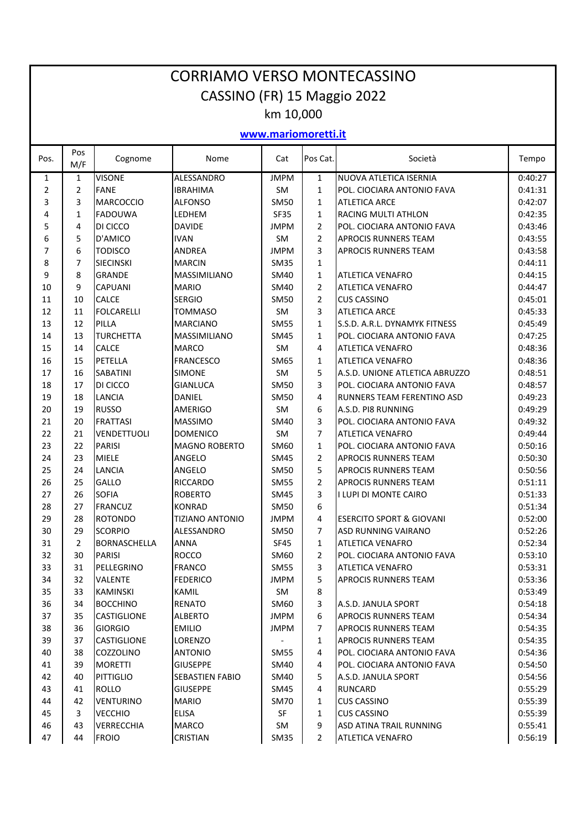| CORRIAMO VERSO MONTECASSINO |                |                            |                                   |                   |                   |                                                           |                    |  |  |
|-----------------------------|----------------|----------------------------|-----------------------------------|-------------------|-------------------|-----------------------------------------------------------|--------------------|--|--|
| CASSINO (FR) 15 Maggio 2022 |                |                            |                                   |                   |                   |                                                           |                    |  |  |
| km 10,000                   |                |                            |                                   |                   |                   |                                                           |                    |  |  |
|                             |                |                            |                                   |                   |                   |                                                           |                    |  |  |
| www.mariomoretti.it         |                |                            |                                   |                   |                   |                                                           |                    |  |  |
| Pos.                        | Pos<br>M/F     | Cognome                    | Nome                              | Cat               | Pos Cat.          | Società                                                   | Tempo              |  |  |
| 1                           | 1              | <b>VISONE</b>              | ALESSANDRO                        | <b>JMPM</b>       | $\mathbf{1}$      | NUOVA ATLETICA ISERNIA                                    | 0:40:27            |  |  |
| $\overline{2}$              | $\overline{2}$ | <b>FANE</b>                | IBRAHIMA                          | SM                | $\mathbf{1}$      | POL. CIOCIARA ANTONIO FAVA                                | 0:41:31            |  |  |
| 3                           | 3              | <b>MARCOCCIO</b>           | <b>ALFONSO</b>                    | <b>SM50</b>       | $\mathbf{1}$      | <b>ATLETICA ARCE</b>                                      | 0:42:07            |  |  |
| 4                           | $\mathbf{1}$   | <b>FADOUWA</b>             | LEDHEM                            | <b>SF35</b>       | $\mathbf{1}$      | <b>RACING MULTI ATHLON</b>                                | 0:42:35            |  |  |
| 5                           | 4              | DI CICCO                   | <b>DAVIDE</b>                     | <b>JMPM</b>       | $\overline{2}$    | POL. CIOCIARA ANTONIO FAVA                                | 0:43:46            |  |  |
| 6                           | 5              | D'AMICO                    | <b>IVAN</b>                       | <b>SM</b>         | $\overline{2}$    | <b>APROCIS RUNNERS TEAM</b>                               | 0:43:55            |  |  |
| $\overline{7}$              | 6              | <b>TODISCO</b>             | ANDREA                            | <b>JMPM</b>       | 3                 | <b>APROCIS RUNNERS TEAM</b>                               | 0:43:58            |  |  |
| 8                           | 7              | <b>SIECINSKI</b>           | <b>MARCIN</b>                     | <b>SM35</b>       | $\mathbf{1}$      |                                                           | 0:44:11            |  |  |
| 9                           | 8              | <b>GRANDE</b>              | <b>MASSIMILIANO</b>               | SM40              | $\mathbf{1}$      | <b>ATLETICA VENAFRO</b>                                   | 0:44:15            |  |  |
| 10                          | 9              | <b>CAPUANI</b>             | <b>MARIO</b>                      | <b>SM40</b>       | $\overline{2}$    | <b>ATLETICA VENAFRO</b>                                   | 0:44:47            |  |  |
| 11                          | 10             | <b>CALCE</b>               | <b>SERGIO</b>                     | <b>SM50</b>       | $\overline{2}$    | <b>CUS CASSINO</b>                                        | 0:45:01            |  |  |
| 12                          | 11             | <b>FOLCARELLI</b>          | TOMMASO                           | <b>SM</b>         | 3                 | <b>ATLETICA ARCE</b>                                      | 0:45:33            |  |  |
| 13                          | 12             | PILLA                      | <b>MARCIANO</b>                   | <b>SM55</b>       | 1                 | S.S.D. A.R.L. DYNAMYK FITNESS                             | 0:45:49            |  |  |
| 14                          | 13             | <b>TURCHETTA</b>           | <b>MASSIMILIANO</b>               | SM45              | $\mathbf{1}$      | POL. CIOCIARA ANTONIO FAVA                                | 0:47:25            |  |  |
| 15                          | 14             | <b>CALCE</b>               | <b>MARCO</b>                      | <b>SM</b>         | 4                 | <b>ATLETICA VENAFRO</b>                                   | 0:48:36            |  |  |
| 16<br>17                    | 15<br>16       | PETELLA<br><b>SABATINI</b> | <b>FRANCESCO</b><br><b>SIMONE</b> | SM65<br><b>SM</b> | $\mathbf{1}$<br>5 | <b>ATLETICA VENAFRO</b><br>A.S.D. UNIONE ATLETICA ABRUZZO | 0:48:36<br>0:48:51 |  |  |
| 18                          | 17             | DI CICCO                   | <b>GIANLUCA</b>                   | <b>SM50</b>       | 3                 | POL. CIOCIARA ANTONIO FAVA                                | 0:48:57            |  |  |
| 19                          | 18             | LANCIA                     | DANIEL                            | <b>SM50</b>       | 4                 | RUNNERS TEAM FERENTINO ASD                                | 0:49:23            |  |  |
| 20                          | 19             | <b>RUSSO</b>               | <b>AMERIGO</b>                    | <b>SM</b>         | 6                 | A.S.D. PI8 RUNNING                                        | 0:49:29            |  |  |
| 21                          | 20             | <b>FRATTASI</b>            | <b>MASSIMO</b>                    | <b>SM40</b>       | 3                 | POL. CIOCIARA ANTONIO FAVA                                | 0:49:32            |  |  |
| 22                          | 21             | VENDETTUOLI                | <b>DOMENICO</b>                   | <b>SM</b>         | 7                 | <b>ATLETICA VENAFRO</b>                                   | 0:49:44            |  |  |
| 23                          | 22             | <b>PARISI</b>              | <b>MAGNO ROBERTO</b>              | SM60              | $\mathbf{1}$      | POL. CIOCIARA ANTONIO FAVA                                | 0:50:16            |  |  |
| 24                          | 23             | <b>MIELE</b>               | ANGELO                            | <b>SM45</b>       | $\overline{2}$    | <b>APROCIS RUNNERS TEAM</b>                               | 0:50:30            |  |  |
| 25                          | 24             | LANCIA                     | ANGELO                            | <b>SM50</b>       | 5                 | <b>APROCIS RUNNERS TEAM</b>                               | 0:50:56            |  |  |
| 26                          | 25             | GALLO                      | <b>RICCARDO</b>                   | <b>SM55</b>       | $\overline{2}$    | <b>APROCIS RUNNERS TEAM</b>                               | 0:51:11            |  |  |
| 27                          | 26             | <b>SOFIA</b>               | <b>ROBERTO</b>                    | <b>SM45</b>       | 3                 | I LUPI DI MONTE CAIRO                                     | 0:51:33            |  |  |
| 28                          | 27             | <b>FRANCUZ</b>             | <b>KONRAD</b>                     | SM50              | 6                 |                                                           | 0:51:34            |  |  |
| 29                          | 28             | <b>ROTONDO</b>             | <b>TIZIANO ANTONIO</b>            | <b>JMPM</b>       | 4                 | ESERCITO SPORT & GIOVANI                                  | 0:52:00            |  |  |
| 30                          | 29             | <b>SCORPIO</b>             | ALESSANDRO                        | <b>SM50</b>       | 7                 | ASD RUNNING VAIRANO                                       | 0:52:26            |  |  |
| 31                          | 2              | BORNASCHELLA               | ANNA                              | SF45              | 1                 | ATLETICA VENAFRO                                          | 0:52:34            |  |  |
| 32                          | 30             | <b>PARISI</b>              | <b>ROCCO</b>                      | SM60              | $\overline{2}$    | POL. CIOCIARA ANTONIO FAVA                                | 0:53:10            |  |  |
| 33                          | 31             | PELLEGRINO                 | <b>FRANCO</b>                     | <b>SM55</b>       | 3                 | <b>ATLETICA VENAFRO</b>                                   | 0:53:31            |  |  |
| 34                          | 32             | VALENTE                    | <b>FEDERICO</b>                   | <b>JMPM</b>       | 5                 | <b>APROCIS RUNNERS TEAM</b>                               | 0:53:36            |  |  |
| 35                          | 33             | KAMINSKI                   | KAMIL                             | SM                | 8                 |                                                           | 0:53:49            |  |  |
| 36                          | 34             | <b>BOCCHINO</b>            | <b>RENATO</b>                     | SM60              | 3                 | A.S.D. JANULA SPORT                                       | 0:54:18            |  |  |
| 37                          | 35             | CASTIGLIONE                | <b>ALBERTO</b>                    | <b>JMPM</b>       | 6                 | <b>APROCIS RUNNERS TEAM</b>                               | 0:54:34            |  |  |
| 38                          | 36             | <b>GIORGIO</b>             | <b>EMILIO</b>                     | <b>JMPM</b>       | 7                 | <b>APROCIS RUNNERS TEAM</b>                               | 0:54:35            |  |  |
| 39                          | 37             | CASTIGLIONE                | LORENZO                           |                   | 1                 | <b>APROCIS RUNNERS TEAM</b>                               | 0:54:35            |  |  |
| 40                          | 38             | COZZOLINO                  | <b>ANTONIO</b>                    | <b>SM55</b>       | 4                 | POL. CIOCIARA ANTONIO FAVA                                | 0:54:36            |  |  |
| 41                          | 39             | <b>MORETTI</b>             | <b>GIUSEPPE</b>                   | SM40              | 4                 | POL. CIOCIARA ANTONIO FAVA                                | 0:54:50            |  |  |
| 42                          | 40             | <b>PITTIGLIO</b>           | SEBASTIEN FABIO                   | SM40              | 5                 | A.S.D. JANULA SPORT                                       | 0:54:56            |  |  |
| 43                          | 41             | ROLLO                      | GIUSEPPE                          | SM45              | 4                 | <b>RUNCARD</b>                                            | 0:55:29            |  |  |
| 44                          | 42             | <b>VENTURINO</b>           | <b>MARIO</b>                      | SM70              | 1                 | <b>CUS CASSINO</b>                                        | 0:55:39            |  |  |
| 45                          | 3              | VECCHIO                    | <b>ELISA</b>                      | SF                | $\mathbf{1}$      | <b>CUS CASSINO</b>                                        | 0:55:39            |  |  |
| 46                          | 43             | <b>VERRECCHIA</b>          | <b>MARCO</b>                      | SM                | 9                 | ASD ATINA TRAIL RUNNING                                   | 0:55:41            |  |  |
| 47                          | 44             | <b>FROIO</b>               | <b>CRISTIAN</b>                   | SM35              | $\overline{2}$    | <b>ATLETICA VENAFRO</b>                                   | 0:56:19            |  |  |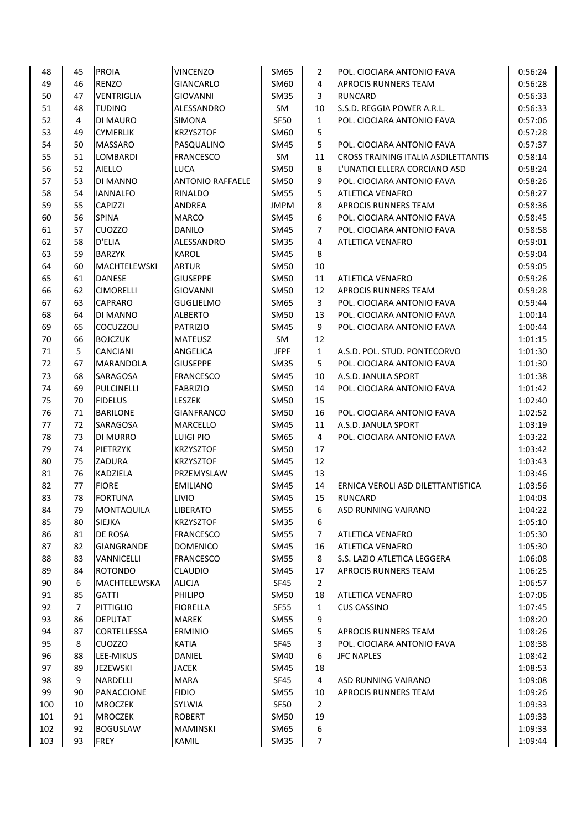| 48  | 45             | <b>PROIA</b>      | <b>VINCENZO</b>         | SM65        | 2              | POL. CIOCIARA ANTONIO FAVA                 | 0:56:24 |
|-----|----------------|-------------------|-------------------------|-------------|----------------|--------------------------------------------|---------|
| 49  | 46             | RENZO             | <b>GIANCARLO</b>        | SM60        | 4              | <b>APROCIS RUNNERS TEAM</b>                | 0:56:28 |
| 50  | 47             | <b>VENTRIGLIA</b> | <b>GIOVANNI</b>         | <b>SM35</b> | 3              | <b>RUNCARD</b>                             | 0:56:33 |
| 51  | 48             | <b>TUDINO</b>     | ALESSANDRO              | SM          | 10             | S.S.D. REGGIA POWER A.R.L.                 | 0:56:33 |
| 52  | 4              | DI MAURO          | <b>SIMONA</b>           | <b>SF50</b> | $\mathbf{1}$   | POL. CIOCIARA ANTONIO FAVA                 | 0:57:06 |
| 53  | 49             | <b>CYMERLIK</b>   | <b>KRZYSZTOF</b>        | SM60        | 5              |                                            | 0:57:28 |
| 54  | 50             | MASSARO           | PASQUALINO              | SM45        | 5              | POL. CIOCIARA ANTONIO FAVA                 | 0:57:37 |
| 55  | 51             | LOMBARDI          | <b>FRANCESCO</b>        | SM          | 11             | <b>CROSS TRAINING ITALIA ASDILETTANTIS</b> | 0:58:14 |
| 56  | 52             | <b>AIELLO</b>     | <b>LUCA</b>             | <b>SM50</b> | 8              | L'UNATICI ELLERA CORCIANO ASD              | 0:58:24 |
| 57  | 53             | DI MANNO          | <b>ANTONIO RAFFAELE</b> | <b>SM50</b> | 9              | POL. CIOCIARA ANTONIO FAVA                 | 0:58:26 |
| 58  | 54             | <b>IANNALFO</b>   | RINALDO                 | <b>SM55</b> | 5              | <b>ATLETICA VENAFRO</b>                    | 0:58:27 |
| 59  | 55             | <b>CAPIZZI</b>    | <b>ANDREA</b>           | JMPM        | 8              | <b>APROCIS RUNNERS TEAM</b>                | 0:58:36 |
| 60  | 56             | <b>SPINA</b>      | <b>MARCO</b>            | SM45        | 6              | POL. CIOCIARA ANTONIO FAVA                 | 0:58:45 |
| 61  | 57             | <b>CUOZZO</b>     | <b>DANILO</b>           | SM45        | $\overline{7}$ | POL. CIOCIARA ANTONIO FAVA                 | 0:58:58 |
| 62  | 58             | D'ELIA            | ALESSANDRO              | <b>SM35</b> | $\overline{4}$ | <b>ATLETICA VENAFRO</b>                    | 0:59:01 |
| 63  | 59             | BARZYK            | <b>KAROL</b>            | SM45        | 8              |                                            | 0:59:04 |
| 64  | 60             | MACHTELEWSKI      | <b>ARTUR</b>            | <b>SM50</b> | 10             |                                            | 0:59:05 |
| 65  | 61             | <b>DANESE</b>     | <b>GIUSEPPE</b>         | <b>SM50</b> | 11             | <b>ATLETICA VENAFRO</b>                    | 0:59:26 |
| 66  | 62             | <b>CIMORELLI</b>  | <b>GIOVANNI</b>         | <b>SM50</b> | 12             | <b>APROCIS RUNNERS TEAM</b>                | 0:59:28 |
| 67  | 63             | CAPRARO           | <b>GUGLIELMO</b>        | SM65        | 3              | POL. CIOCIARA ANTONIO FAVA                 | 0:59:44 |
| 68  | 64             | DI MANNO          | <b>ALBERTO</b>          | <b>SM50</b> | 13             | POL. CIOCIARA ANTONIO FAVA                 | 1:00:14 |
| 69  | 65             | <b>COCUZZOLI</b>  | <b>PATRIZIO</b>         | SM45        | 9              | POL. CIOCIARA ANTONIO FAVA                 | 1:00:44 |
| 70  | 66             | <b>BOJCZUK</b>    | <b>MATEUSZ</b>          | <b>SM</b>   | 12             |                                            | 1:01:15 |
| 71  | 5              | <b>CANCIANI</b>   | ANGELICA                | <b>JFPF</b> | $\mathbf{1}$   | A.S.D. POL. STUD. PONTECORVO               | 1:01:30 |
| 72  | 67             | MARANDOLA         | <b>GIUSEPPE</b>         | <b>SM35</b> | 5              | POL. CIOCIARA ANTONIO FAVA                 | 1:01:30 |
| 73  | 68             | SARAGOSA          | <b>FRANCESCO</b>        | SM45        | 10             | A.S.D. JANULA SPORT                        | 1:01:38 |
| 74  | 69             | <b>PULCINELLI</b> | <b>FABRIZIO</b>         | <b>SM50</b> | 14             | POL. CIOCIARA ANTONIO FAVA                 | 1:01:42 |
| 75  | 70             | <b>FIDELUS</b>    | <b>LESZEK</b>           | <b>SM50</b> | 15             |                                            | 1:02:40 |
| 76  | 71             | <b>BARILONE</b>   | <b>GIANFRANCO</b>       | <b>SM50</b> | 16             | POL. CIOCIARA ANTONIO FAVA                 | 1:02:52 |
| 77  | 72             | SARAGOSA          | <b>MARCELLO</b>         | <b>SM45</b> | 11             | A.S.D. JANULA SPORT                        | 1:03:19 |
| 78  | 73             | DI MURRO          | LUIGI PIO               | <b>SM65</b> | $\overline{4}$ | POL. CIOCIARA ANTONIO FAVA                 | 1:03:22 |
| 79  | 74             | PIETRZYK          | <b>KRZYSZTOF</b>        | <b>SM50</b> | 17             |                                            | 1:03:42 |
| 80  | 75             | <b>ZADURA</b>     | <b>KRZYSZTOF</b>        | <b>SM45</b> | 12             |                                            | 1:03:43 |
| 81  | 76             | KADZIELA          | PRZEMYSLAW              | SM45        | 13             |                                            | 1:03:46 |
| 82  | 77             | <b>FIORE</b>      | <b>EMILIANO</b>         | SM45        | 14             | ERNICA VEROLI ASD DILETTANTISTICA          | 1:03:56 |
| 83  | 78             | <b>FORTUNA</b>    | LIVIO                   | SM45        | 15             | <b>RUNCARD</b>                             | 1:04:03 |
| 84  | 79             | MONTAQUILA        | <b>LIBERATO</b>         | <b>SM55</b> | 6              | ASD RUNNING VAIRANO                        | 1:04:22 |
| 85  | 80             | <b>SIEJKA</b>     | <b>KRZYSZTOF</b>        | SM35        | 6              |                                            | 1:05:10 |
| 86  | 81             | DE ROSA           | <b>FRANCESCO</b>        | <b>SM55</b> | 7              | <b>ATLETICA VENAFRO</b>                    | 1:05:30 |
| 87  | 82             | GIANGRANDE        | <b>DOMENICO</b>         | SM45        | 16             | <b>ATLETICA VENAFRO</b>                    | 1:05:30 |
| 88  | 83             | VANNICELLI        | <b>FRANCESCO</b>        | <b>SM55</b> | 8              | S.S. LAZIO ATLETICA LEGGERA                | 1:06:08 |
| 89  | 84             | <b>ROTONDO</b>    | <b>CLAUDIO</b>          | SM45        | 17             | <b>APROCIS RUNNERS TEAM</b>                | 1:06:25 |
| 90  | 6              | MACHTELEWSKA      | <b>ALICJA</b>           | SF45        | $\overline{2}$ |                                            | 1:06:57 |
| 91  | 85             | <b>GATTI</b>      | <b>PHILIPO</b>          | <b>SM50</b> | 18             | <b>ATLETICA VENAFRO</b>                    | 1:07:06 |
| 92  | $\overline{7}$ | <b>PITTIGLIO</b>  | <b>FIORELLA</b>         | SF55        | $\mathbf{1}$   | <b>CUS CASSINO</b>                         | 1:07:45 |
| 93  | 86             | <b>DEPUTAT</b>    | <b>MAREK</b>            | <b>SM55</b> | 9              |                                            | 1:08:20 |
| 94  | 87             | CORTELLESSA       | <b>ERMINIO</b>          | SM65        | 5              | <b>APROCIS RUNNERS TEAM</b>                | 1:08:26 |
| 95  | 8              | CUOZZO            | <b>KATIA</b>            | SF45        | 3              | POL. CIOCIARA ANTONIO FAVA                 | 1:08:38 |
| 96  | 88             | LEE-MIKUS         | DANIEL                  | SM40        | 6              | <b>JFC NAPLES</b>                          | 1:08:42 |
| 97  | 89             | JEZEWSKI          | <b>JACEK</b>            | SM45        | 18             |                                            | 1:08:53 |
| 98  | 9              | NARDELLI          | <b>MARA</b>             | SF45        | 4              | <b>ASD RUNNING VAIRANO</b>                 | 1:09:08 |
| 99  | 90             | PANACCIONE        | <b>FIDIO</b>            | <b>SM55</b> | 10             | <b>APROCIS RUNNERS TEAM</b>                | 1:09:26 |
| 100 | 10             | MROCZEK           | SYLWIA                  | SF50        | $\overline{2}$ |                                            | 1:09:33 |
| 101 | 91             | MROCZEK           | <b>ROBERT</b>           | SM50        | 19             |                                            | 1:09:33 |
| 102 | 92             | <b>BOGUSLAW</b>   | <b>MAMINSKI</b>         | SM65        | 6              |                                            | 1:09:33 |
| 103 | 93             | <b>FREY</b>       | KAMIL                   | <b>SM35</b> | $\overline{7}$ |                                            | 1:09:44 |
|     |                |                   |                         |             |                |                                            |         |